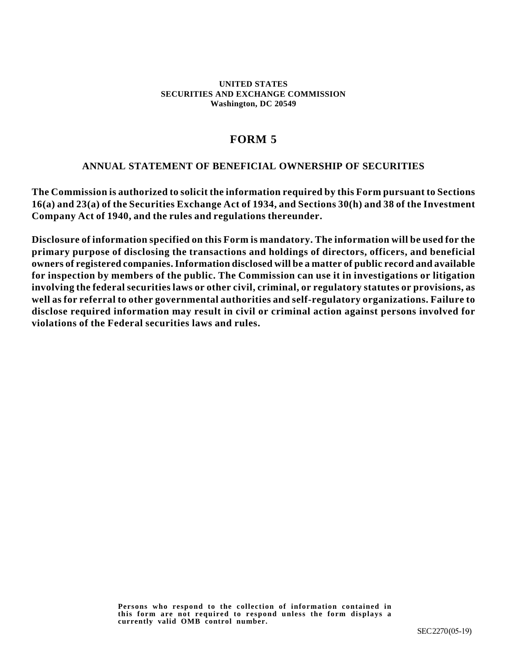### **UNITED STATES SECURITIES AND EXCHANGE COMMISSION Washington, DC 20549**

# **FORM 5**

# **ANNUAL STATEMENT OF BENEFICIAL OWNERSHIP OF SECURITIES**

**The Commission is authorized to solicit the information required by this Form pursuant to Sections 16(a) and 23(a) of the Securities Exchange Act of 1934, and Sections 30(h) and 38 of the Investment Company Act of 1940, and the rules and regulations thereunder.**

**Disclosure of information specified on this Form is mandatory. The information will be used for the primary purpose of disclosing the transactions and holdings of directors, officers, and beneficial owners of registered companies. Information disclosed will be a matter of public record and available for inspection by members of the public. The Commission can use it in investigations or litigation involving the federal securities laws or other civil, criminal, or regulatory statutes or provisions, as well as for referral to other governmental authorities and self-regulatory organizations. Failure to disclose required information may result in civil or criminal action against persons involved for violations of the Federal securities laws and rules.**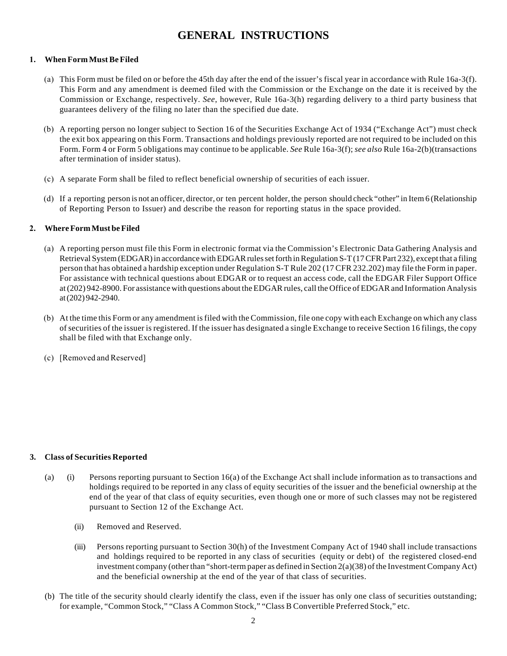# **GENERAL INSTRUCTIONS**

# **1. When Form Must Be Filed**

- (a) This Form must be filed on or before the 45th day after the end of the issuer's fiscal year in accordance with Rule 16a-3(f). This Form and any amendment is deemed filed with the Commission or the Exchange on the date it is received by the Commission or Exchange, respectively. *See*, however, Rule 16a-3(h) regarding delivery to a third party business that guarantees delivery of the filing no later than the specified due date.
- (b) A reporting person no longer subject to Section 16 of the Securities Exchange Act of 1934 ("Exchange Act") must check the exit box appearing on this Form. Transactions and holdings previously reported are not required to be included on this Form. Form 4 or Form 5 obligations may continue to be applicable. *See* Rule 16a-3(f); *see also* Rule 16a-2(b)(transactions after termination of insider status).
- (c) A separate Form shall be filed to reflect beneficial ownership of securities of each issuer.
- (d) If a reporting person is not an officer, director, or ten percent holder, the person should check "other" in Item 6 (Relationship of Reporting Person to Issuer) and describe the reason for reporting status in the space provided.

# **2. Where Form Must be Filed**

- (a) A reporting person must file this Form in electronic format via the Commission's Electronic Data Gathering Analysis and Retrieval System (EDGAR) in accordance with EDGAR rules set forth in Regulation S-T (17 CFR Part 232), except that a filing person that has obtained a hardship exception under Regulation S-T Rule 202 (17 CFR 232.202) may file the Form in paper. For assistance with technical questions about EDGAR or to request an access code, call the EDGAR Filer Support Office at (202) 942-8900. For assistance with questions about the EDGAR rules, call the Office of EDGAR and Information Analysis at (202) 942-2940.
- (b) At the time this Form or any amendment is filed with the Commission, file one copy with each Exchange on which any class of securities of the issuer is registered. If the issuer has designated a single Exchange to receive Section 16 filings, the copy shall be filed with that Exchange only.
- (c) [Removed and Reserved]

# **3. Class of Securities Reported**

- (a) (i) Persons reporting pursuant to Section 16(a) of the Exchange Act shall include information as to transactions and holdings required to be reported in any class of equity securities of the issuer and the beneficial ownership at the end of the year of that class of equity securities, even though one or more of such classes may not be registered pursuant to Section 12 of the Exchange Act.
	- (ii) Removed and Reserved.
	- (iii) Persons reporting pursuant to Section 30(h) of the Investment Company Act of 1940 shall include transactions and holdings required to be reported in any class of securities (equity or debt) of the registered closed-end investment company (other than "short-term paper as defined in Section 2(a)(38) of the Investment Company Act) and the beneficial ownership at the end of the year of that class of securities.
- (b) The title of the security should clearly identify the class, even if the issuer has only one class of securities outstanding; for example, "Common Stock," "Class A Common Stock," "Class B Convertible Preferred Stock," etc.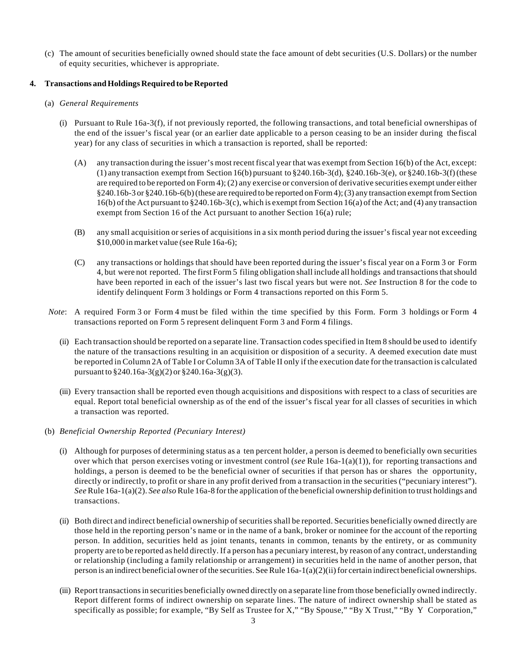(c) The amount of securities beneficially owned should state the face amount of debt securities (U.S. Dollars) or the number of equity securities, whichever is appropriate.

#### **4. Transactions and Holdings Required to be Reported**

- (a) *General Requirements*
	- (i) Pursuant to Rule 16a-3(f), if not previously reported, the following transactions, and total beneficial ownershipas of the end of the issuer's fiscal year (or an earlier date applicable to a person ceasing to be an insider during the fiscal year) for any class of securities in which a transaction is reported, shall be reported:
		- (A) any transaction during the issuer's most recent fiscal year that was exempt from Section 16(b) of the Act, except: (1) any transaction exempt from Section 16(b) pursuant to  $$240.16b-3(d)$ ,  $$240.16b-3(e)$ , or  $$240.16b-3(f)$  (these are required to be reported on Form 4); (2) any exercise or conversion of derivative securities exempt under either §240.16b-3 or §240.16b-6(b) (these are required to be reported on Form 4); (3) any transaction exempt from Section 16(b) of the Act pursuant to §240.16b-3(c), which is exempt from Section 16(a) of the Act; and (4) any transaction exempt from Section 16 of the Act pursuant to another Section 16(a) rule;
		- (B) any small acquisition or series of acquisitions in a six month period during the issuer's fiscal year not exceeding \$10,000 in market value (see Rule 16a-6);
		- (C) any transactions or holdings that should have been reported during the issuer's fiscal year on a Form 3 or Form 4, but were not reported. The first Form 5 filing obligation shall include all holdings and transactions that should have been reported in each of the issuer's last two fiscal years but were not. *See* Instruction 8 for the code to identify delinquent Form 3 holdings or Form 4 transactions reported on this Form 5.
- *Note*: A required Form 3 or Form 4 must be filed within the time specified by this Form. Form 3 holdings or Form 4 transactions reported on Form 5 represent delinquent Form 3 and Form 4 filings.
	- (ii) Each transaction should be reported on a separate line. Transaction codes specified in Item 8 should be used to identify the nature of the transactions resulting in an acquisition or disposition of a security. A deemed execution date must be reported in Column 2A of Table I or Column 3A of Table II only if the execution date for the transaction is calculated pursuant to §240.16a-3(g)(2) or §240.16a-3(g)(3).
	- (iii) Every transaction shall be reported even though acquisitions and dispositions with respect to a class of securities are equal. Report total beneficial ownership as of the end of the issuer's fiscal year for all classes of securities in which a transaction was reported.
- (b) *Beneficial Ownership Reported (Pecuniary Interest)*
	- (i) Although for purposes of determining status as a ten percent holder, a person is deemed to beneficially own securities over which that person exercises voting or investment control (*see* Rule 16a-1(a)(1)), for reporting transactions and holdings, a person is deemed to be the beneficial owner of securities if that person has or shares the opportunity, directly or indirectly, to profit or share in any profit derived from a transaction in the securities ("pecuniary interest"). *See* Rule 16a-1(a)(2). *See also* Rule 16a-8 for the application of the beneficial ownership definition to trust holdings and transactions.
	- (ii) Both direct and indirect beneficial ownership of securities shall be reported. Securities beneficially owned directly are those held in the reporting person's name or in the name of a bank, broker or nominee for the account of the reporting person. In addition, securities held as joint tenants, tenants in common, tenants by the entirety, or as community property are to be reported as held directly. If a person has a pecuniary interest, by reason of any contract, understanding or relationship (including a family relationship or arrangement) in securities held in the name of another person, that person is an indirect beneficial owner of the securities. See Rule 16a-1(a)(2)(ii) for certain indirect beneficial ownerships.
	- (iii) Report transactions in securities beneficially owned directly on a separate line from those beneficially owned indirectly. Report different forms of indirect ownership on separate lines. The nature of indirect ownership shall be stated as specifically as possible; for example, "By Self as Trustee for X," "By Spouse," "By X Trust," "By Y Corporation,"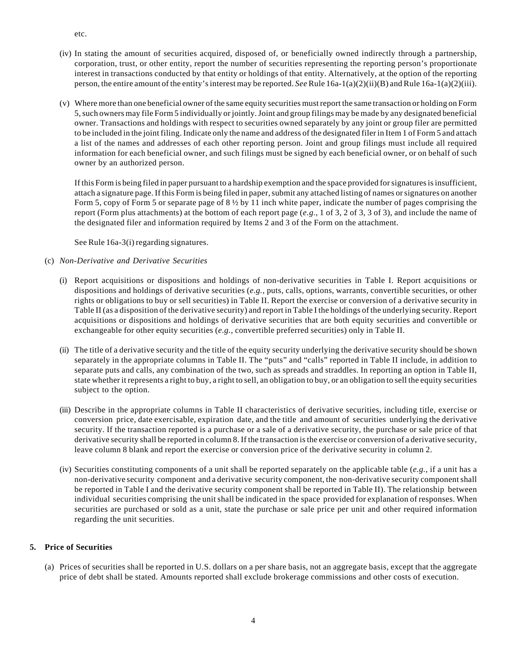- etc.
- (iv) In stating the amount of securities acquired, disposed of, or beneficially owned indirectly through a partnership, corporation, trust, or other entity, report the number of securities representing the reporting person's proportionate interest in transactions conducted by that entity or holdings of that entity. Alternatively, at the option of the reporting person, the entire amount of the entity's interest may be reported. *See* Rule 16a-1(a)(2)(ii)(B) and Rule 16a-1(a)(2)(iii).
- (v) Where more than one beneficial owner of the same equity securities must report the same transaction or holding on Form 5, such owners may file Form 5 individually or jointly. Joint and group filings may be made by any designated beneficial owner. Transactions and holdings with respect to securities owned separately by any joint or group filer are permitted to be included in the joint filing. Indicate only the name and address of the designated filer in Item 1 of Form 5 and attach a list of the names and addresses of each other reporting person. Joint and group filings must include all required information for each beneficial owner, and such filings must be signed by each beneficial owner, or on behalf of such owner by an authorized person.

If this Form is being filed in paper pursuant to a hardship exemption and the space provided for signatures is insufficient, attach a signature page. If this Form is being filed in paper, submit any attached listing of names or signatures on another Form 5, copy of Form 5 or separate page of  $8\frac{1}{2}$  by 11 inch white paper, indicate the number of pages comprising the report (Form plus attachments) at the bottom of each report page (*e.g.*, 1 of 3, 2 of 3, 3 of 3), and include the name of the designated filer and information required by Items 2 and 3 of the Form on the attachment.

See Rule 16a-3(i) regarding signatures.

- (c) *Non-Derivative and Derivative Securities*
	- (i) Report acquisitions or dispositions and holdings of non-derivative securities in Table I. Report acquisitions or dispositions and holdings of derivative securities (*e.g.*, puts, calls, options, warrants, convertible securities, or other rights or obligations to buy or sell securities) in Table II. Report the exercise or conversion of a derivative security in Table II (as a disposition of the derivative security) and report in Table I the holdings of the underlying security. Report acquisitions or dispositions and holdings of derivative securities that are both equity securities and convertible or exchangeable for other equity securities (*e.g.*, convertible preferred securities) only in Table II.
	- (ii) The title of a derivative security and the title of the equity security underlying the derivative security should be shown separately in the appropriate columns in Table II. The "puts" and "calls" reported in Table II include, in addition to separate puts and calls, any combination of the two, such as spreads and straddles. In reporting an option in Table II, state whether it represents a right to buy, a right to sell, an obligation to buy, or an obligation to sell the equity securities subject to the option.
	- (iii) Describe in the appropriate columns in Table II characteristics of derivative securities, including title, exercise or conversion price, date exercisable, expiration date, and the title and amount of securities underlying the derivative security. If the transaction reported is a purchase or a sale of a derivative security, the purchase or sale price of that derivative security shall be reported in column 8. If the transaction is the exercise or conversion of a derivative security, leave column 8 blank and report the exercise or conversion price of the derivative security in column 2.
	- (iv) Securities constituting components of a unit shall be reported separately on the applicable table (*e.g.*, if a unit has a non-derivative security component and a derivative security component, the non-derivative security component shall be reported in Table I and the derivative security component shall be reported in Table II). The relationship between individual securities comprising the unit shall be indicated in the space provided for explanation of responses. When securities are purchased or sold as a unit, state the purchase or sale price per unit and other required information regarding the unit securities.

# **5. Price of Securities**

(a) Prices of securities shall be reported in U.S. dollars on a per share basis, not an aggregate basis, except that the aggregate price of debt shall be stated. Amounts reported shall exclude brokerage commissions and other costs of execution.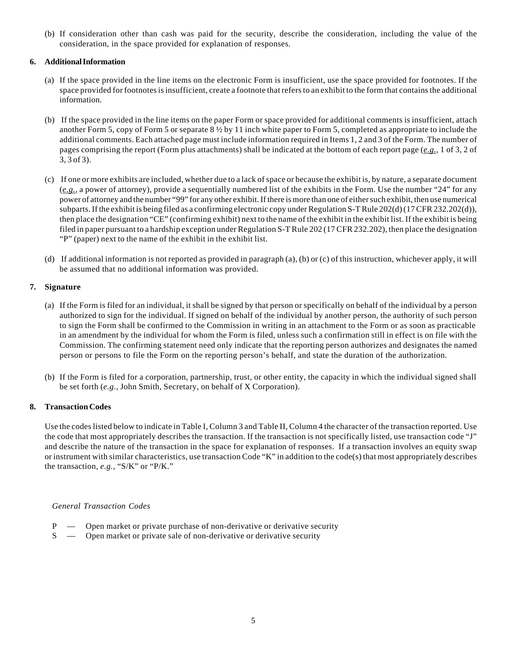(b) If consideration other than cash was paid for the security, describe the consideration, including the value of the consideration, in the space provided for explanation of responses.

# **6. Additional Information**

- (a) If the space provided in the line items on the electronic Form is insufficient, use the space provided for footnotes. If the space provided for footnotes is insufficient, create a footnote that refers to an exhibit to the form that contains the additional information.
- (b) If the space provided in the line items on the paper Form or space provided for additional comments is insufficient, attach another Form 5, copy of Form 5 or separate 8 ½ by 11 inch white paper to Form 5, completed as appropriate to include the additional comments. Each attached page must include information required in Items 1, 2 and 3 of the Form. The number of pages comprising the report (Form plus attachments) shall be indicated at the bottom of each report page (*e.g.*, 1 of 3, 2 of 3, 3 of 3).
- (c) If one or more exhibits are included, whether due to a lack of space or because the exhibit is, by nature, a separate document (*e.g.*, a power of attorney), provide a sequentially numbered list of the exhibits in the Form. Use the number "24" for any power of attorney and the number "99" for any other exhibit. If there is more than one of either such exhibit, then use numerical subparts. If the exhibit is being filed as a confirming electronic copy under Regulation S-T Rule 202(d) (17 CFR 232.202(d)), then place the designation "CE" (confirming exhibit) next to the name of the exhibit in the exhibit list. If the exhibit is being filed in paper pursuant to a hardship exception under Regulation S-T Rule 202 (17 CFR 232.202), then place the designation "P" (paper) next to the name of the exhibit in the exhibit list.
- (d) If additional information is not reported as provided in paragraph (a), (b) or (c) of this instruction, whichever apply, it will be assumed that no additional information was provided.

# **7. Signature**

- (a) If the Form is filed for an individual, it shall be signed by that person or specifically on behalf of the individual by a person authorized to sign for the individual. If signed on behalf of the individual by another person, the authority of such person to sign the Form shall be confirmed to the Commission in writing in an attachment to the Form or as soon as practicable in an amendment by the individual for whom the Form is filed, unless such a confirmation still in effect is on file with the Commission. The confirming statement need only indicate that the reporting person authorizes and designates the named person or persons to file the Form on the reporting person's behalf, and state the duration of the authorization.
- (b) If the Form is filed for a corporation, partnership, trust, or other entity, the capacity in which the individual signed shall be set forth (*e.g.*, John Smith, Secretary, on behalf of X Corporation).

#### **8. Transaction Codes**

Use the codes listed below to indicate in Table I, Column 3 and Table II, Column 4 the character of the transaction reported. Use the code that most appropriately describes the transaction. If the transaction is not specifically listed, use transaction code "J" and describe the nature of the transaction in the space for explanation of responses. If a transaction involves an equity swap or instrument with similar characteristics, use transaction Code "K" in addition to the code(s) that most appropriately describes the transaction, *e.g.*, "S/K" or "P/K."

#### *General Transaction Codes*

- P Open market or private purchase of non-derivative or derivative security
- S Open market or private sale of non-derivative or derivative security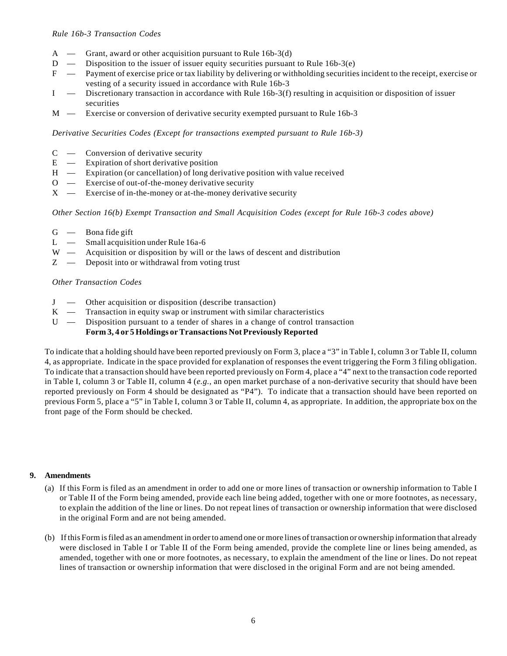- A Grant, award or other acquisition pursuant to Rule 16b-3(d)
- D Disposition to the issuer of issuer equity securities pursuant to Rule 16b-3(e)
- $F -$  Payment of exercise price or tax liability by delivering or withholding securities incident to the receipt, exercise or vesting of a security issued in accordance with Rule 16b-3
- I Discretionary transaction in accordance with Rule  $16b-3(f)$  resulting in acquisition or disposition of issuer securities
- M Exercise or conversion of derivative security exempted pursuant to Rule 16b-3

#### *Derivative Securities Codes (Except for transactions exempted pursuant to Rule 16b-3)*

- $C \sim$  Conversion of derivative security
- E Expiration of short derivative position
- H Expiration (or cancellation) of long derivative position with value received
- O Exercise of out-of-the-money derivative security
- $X$  Exercise of in-the-money or at-the-money derivative security

*Other Section 16(b) Exempt Transaction and Small Acquisition Codes (except for Rule 16b-3 codes above)*

- G Bona fide gift
- $L$  Small acquisition under Rule 16a-6
- W Acquisition or disposition by will or the laws of descent and distribution
- Z Deposit into or withdrawal from voting trust

#### *Other Transaction Codes*

- J Other acquisition or disposition (describe transaction)
- $K$  Transaction in equity swap or instrument with similar characteristics
- U Disposition pursuant to a tender of shares in a change of control transaction

#### **Form 3, 4 or 5 Holdings or Transactions Not Previously Reported**

To indicate that a holding should have been reported previously on Form 3, place a "3" in Table I, column 3 or Table II, column 4, as appropriate. Indicate in the space provided for explanation of responses the event triggering the Form 3 filing obligation. To indicate that a transaction should have been reported previously on Form 4, place a "4" next to the transaction code reported in Table I, column 3 or Table II, column 4 (*e.g.*, an open market purchase of a non-derivative security that should have been reported previously on Form 4 should be designated as "P4"). To indicate that a transaction should have been reported on previous Form 5, place a "5" in Table I, column 3 or Table II, column 4, as appropriate. In addition, the appropriate box on the front page of the Form should be checked.

#### **9. Amendments**

- (a) If this Form is filed as an amendment in order to add one or more lines of transaction or ownership information to Table I or Table II of the Form being amended, provide each line being added, together with one or more footnotes, as necessary, to explain the addition of the line or lines. Do not repeat lines of transaction or ownership information that were disclosed in the original Form and are not being amended.
- (b) If this Form is filed as an amendment in order to amend one or more lines of transaction or ownership information that already were disclosed in Table I or Table II of the Form being amended, provide the complete line or lines being amended, as amended, together with one or more footnotes, as necessary, to explain the amendment of the line or lines. Do not repeat lines of transaction or ownership information that were disclosed in the original Form and are not being amended.